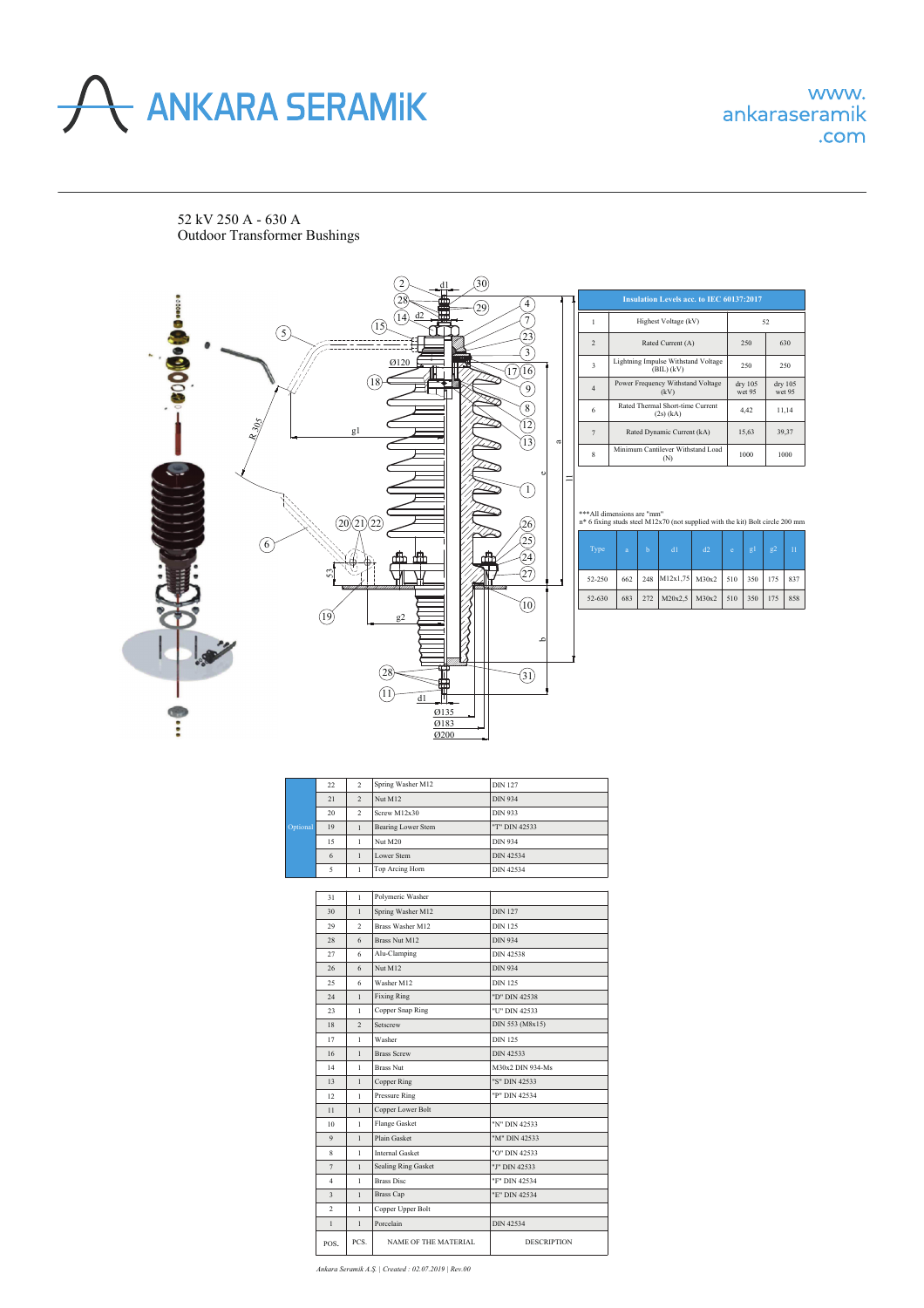

52 kV 250 A - 630 А Outdoor Transformer Bushings



| Optional | 22. | $\overline{2}$ | Spring Washer M12  | <b>DIN 127</b>   |
|----------|-----|----------------|--------------------|------------------|
|          | 21  | $\mathfrak{D}$ | Nut M12            | <b>DIN 934</b>   |
|          | 20  | $\mathfrak{D}$ | Screw M12x30       | <b>DIN 933</b>   |
|          | 19  |                | Bearing Lower Stem | "T" DIN 42533    |
|          | 15  |                | Nut M20            | <b>DIN 934</b>   |
|          | 6   |                | Lower Stem         | <b>DIN 42534</b> |
|          | 5   |                | Top Arcing Horn    | <b>DIN 42534</b> |

| 31                       | $\mathbf{1}$   | Polymeric Washer            |                    |
|--------------------------|----------------|-----------------------------|--------------------|
| 30                       | $\mathbf{1}$   | Spring Washer M12           | <b>DIN 127</b>     |
| 29                       | $\overline{a}$ | <b>Brass Washer M12</b>     | <b>DIN 125</b>     |
| 28                       | 6              | <b>Brass Nut M12</b>        | <b>DIN 934</b>     |
| 27                       | 6              | Alu-Clamping                | <b>DIN 42538</b>   |
| 26                       | 6              | Nut M12                     | <b>DIN 934</b>     |
| 25                       | 6              | Washer M12                  | <b>DIN 125</b>     |
| 24                       | $\mathbf{1}$   | <b>Fixing Ring</b>          | "D" DIN 42538      |
| 23                       | $\mathbf{1}$   | Copper Snap Ring            | "U" DIN 42533      |
| 18                       | $\overline{a}$ | Setscrew                    | DIN 553 (M8x15)    |
| 17                       | 1              | Washer                      | <b>DIN 125</b>     |
| 16                       | $\mathbf{1}$   | <b>Brass Screw</b>          | DIN 42533          |
| 14                       | 1              | <b>Brass Nut</b>            | M30x2 DIN 934-Ms   |
| 13                       | $\mathbf{1}$   | <b>Copper Ring</b>          | "S" DIN 42533      |
| 12                       | $\mathbf{1}$   | Pressure Ring               | "P" DIN 42534      |
| 11                       | $\mathbf{1}$   | Copper Lower Bolt           |                    |
| 10                       | $\mathbf{1}$   | Flange Gasket               | "N" DIN 42533      |
| $\overline{9}$           | $\mathbf{1}$   | <b>Plain Gasket</b>         | "M" DIN 42533      |
| 8                        | $\mathbf{1}$   | <b>Internal Gasket</b>      | "O" DIN 42533      |
| $\overline{7}$           | $\mathbf{1}$   | <b>Sealing Ring Gasket</b>  | "J" DIN 42533      |
| $\overline{4}$           | $\mathbf{1}$   | <b>Brass Disc</b>           | "F" DIN 42534      |
| $\ddot{\mathbf{3}}$      | $\mathbf{1}$   | <b>Brass Cap</b>            | "E" DIN 42534      |
| $\overline{\mathcal{L}}$ | 1              | Copper Upper Bolt           |                    |
| $\mathbf{1}$             | $\mathbf{1}$   | Porcelain                   | <b>DIN 42534</b>   |
| POS.                     | PCS.           | <b>NAME OF THE MATERIAL</b> | <b>DESCRIPTION</b> |

*Ankara Seramik A.Ş. | Created : 02.07.2019 | Rev.00*